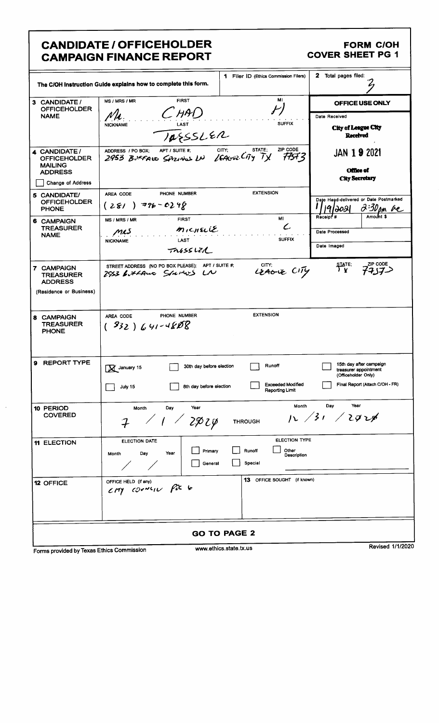## **CANDIDATE / OFFICEHOLDER CAMPAIGN FINANCE REPORT**

## **FORM C/OH COVER SHEET PG 1**

|                                                                          | The C/OH Instruction Guide explains how to complete this form.                | 1 Filer ID (Ethics Commission Filers)                          | 2 Total pages filed:                                                    |  |  |
|--------------------------------------------------------------------------|-------------------------------------------------------------------------------|----------------------------------------------------------------|-------------------------------------------------------------------------|--|--|
| 3 CANDIDATE /<br><b>OFFICEHOLDER</b><br><b>NAME</b>                      | <b>FIRST</b><br>MS / MRS / MR<br>$C$ HAD<br>LAST<br><b>NICKNAME</b>           | OFFICE USE ONLY<br>Date Received<br><b>City of League City</b> |                                                                         |  |  |
|                                                                          | TAESSLER                                                                      |                                                                | Received                                                                |  |  |
| 4 CANDIDATE /<br><b>OFFICEHOLDER</b><br><b>MAILING</b><br><b>ADDRESS</b> | APT / SUITE #:<br>ADDRESS / PO BOX:<br>2953 BUFFARO SAZINOS LN LEAGUE CITY TX | ZIP CODE<br>STATE;<br>CITY;<br>77573                           | <b>JAN 19 2021</b><br><b>Office of</b>                                  |  |  |
| Change of Address                                                        |                                                                               |                                                                | <b>City Secretary</b>                                                   |  |  |
| 5 CANDIDATE/<br><b>OFFICEHOLDER</b><br><b>PHONE</b>                      | PHONE NUMBER<br>AREA CODE<br>$(281)$ $776 - 0248$                             | <b>EXTENSION</b>                                               | Date Hand-delivered or Date Postmarked<br>2:30 pm Re<br>19/1021         |  |  |
| 6 CAMPAIGN                                                               | <b>FIRST</b><br>MS / MRS / MR                                                 | MI<br>$\mathcal L$                                             | Amount \$<br>Receipt <sup>#</sup>                                       |  |  |
| <b>TREASURER</b><br><b>NAME</b>                                          | $m$ <sub>1</sub> $c$ <sub>HEL</sub> IE<br>mis<br>LAST<br><b>NICKNAME</b>      | Date Processed                                                 |                                                                         |  |  |
|                                                                          | TRESSLZA                                                                      | <b>SUFFIX</b>                                                  | Date Imaged                                                             |  |  |
| 7 CAMPAIGN<br>TREASURER<br><b>ADDRESS</b><br>(Residence or Business)     | STREET ADDRESS (NO PO BOX PLEASE); APT / SUITE #;<br>2953 Littano Startos LN  | CITY;<br>LEAGUE CITY                                           | ZIP CODE<br>state:<br>7 y                                               |  |  |
| 8 CAMPAIGN<br><b>TREASURER</b><br><b>PHONE</b>                           | PHONE NUMBER<br>AREA CODE<br>$(932)641-4808$                                  | <b>EXTENSION</b>                                               |                                                                         |  |  |
| 9 REPORT TYPE                                                            | 30th day before election<br>M January 15                                      | Runoff                                                         | 15th day after campaign<br>treasurer appointment<br>(Officeholder Only) |  |  |
|                                                                          | ┌──┐<br>8th day before election<br>July 15                                    | <b>Exceeded Modified</b><br><b>Reporting Limit</b>             | Final Report (Attach C/OH - FR)                                         |  |  |
| 10 PERIOD<br><b>COVERED</b>                                              | Year<br>Month<br>Day<br>2024                                                  | Month<br><b>THROUGH</b>                                        | Year<br>Day<br>12 / 31 / 292/                                           |  |  |
| <b>11 ELECTION</b>                                                       | <b>ELECTION DATE</b><br>Primary<br>Day<br>Year<br>Month<br>General            | ELECTION TYPE<br>Other<br>Runoff<br>Description<br>Special     |                                                                         |  |  |
| 12 OFFICE                                                                | OFFICE HELD (if any)<br>CMY COONLIN Pix to                                    | 13 OFFICE SOUGHT (if known)                                    |                                                                         |  |  |
|                                                                          |                                                                               | <b>GO TO PAGE 2</b>                                            |                                                                         |  |  |
| Revised 1/1/2020<br>www.ethics.state.tx.us<br>$\sim$<br>سملمعنس          |                                                                               |                                                                |                                                                         |  |  |

Forms provided by Texas Ethics Commission

www.ethics.stat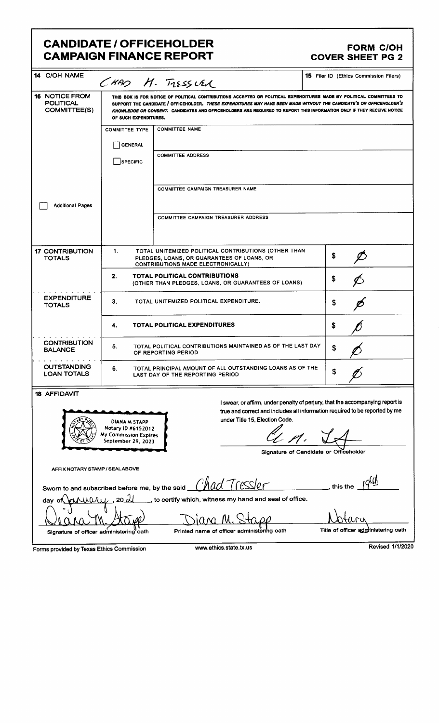## CANDIDATE / OFFICEHOLDER<br>
CAMPAIGN FINANCE REPORT COVER SHEET PG 2 **CAMPAIGN FINANCE REPORT**

| 14 C/OH NAME                                                                                                                                                                                                                                                                                                                   |                                                                                                                                                                                                                                                                                                                                                                                                  | CHAD H. TIESSURA                                                                                                                                | <b>15</b> Filer ID (Ethics Commission Filers) |  |  |
|--------------------------------------------------------------------------------------------------------------------------------------------------------------------------------------------------------------------------------------------------------------------------------------------------------------------------------|--------------------------------------------------------------------------------------------------------------------------------------------------------------------------------------------------------------------------------------------------------------------------------------------------------------------------------------------------------------------------------------------------|-------------------------------------------------------------------------------------------------------------------------------------------------|-----------------------------------------------|--|--|
| <b>16 NOTICE FROM</b><br><b>POLITICAL</b><br><b>COMMITTEE(S)</b>                                                                                                                                                                                                                                                               | THIS BOX IS FOR NOTICE OF POLITICAL CONTRIBUTIONS ACCEPTED OR POLITICAL EXPENDITURES MADE BY POLITICAL COMMITTEES TO<br>SUPPORT THE CANDIDATE / OFFICEHOLDER. THESE EXPENDITURES MAY HAVE BEEN MADE WITHOUT THE CANDIDATE'S OR OFFICEHOLDER'S<br>KNOWLEDGE OR CONSENT. CANDIDATES AND OFFICEHOLDERS ARE REQUIRED TO REPORT THIS INFORMATION ONLY IF THEY RECEIVE NOTICE<br>OF SUCH EXPENDITURES. |                                                                                                                                                 |                                               |  |  |
|                                                                                                                                                                                                                                                                                                                                | <b>COMMITTEE TYPE</b>                                                                                                                                                                                                                                                                                                                                                                            | <b>COMMITTEE NAME</b>                                                                                                                           |                                               |  |  |
|                                                                                                                                                                                                                                                                                                                                | <b>GENERAL</b>                                                                                                                                                                                                                                                                                                                                                                                   |                                                                                                                                                 |                                               |  |  |
|                                                                                                                                                                                                                                                                                                                                | <b>SPECIFIC</b>                                                                                                                                                                                                                                                                                                                                                                                  | <b>COMMITTEE ADDRESS</b>                                                                                                                        |                                               |  |  |
|                                                                                                                                                                                                                                                                                                                                |                                                                                                                                                                                                                                                                                                                                                                                                  | <b>COMMITTEE CAMPAIGN TREASURER NAME</b>                                                                                                        |                                               |  |  |
| <b>Additional Pages</b>                                                                                                                                                                                                                                                                                                        |                                                                                                                                                                                                                                                                                                                                                                                                  |                                                                                                                                                 |                                               |  |  |
|                                                                                                                                                                                                                                                                                                                                |                                                                                                                                                                                                                                                                                                                                                                                                  | COMMITTEE CAMPAIGN TREASURER ADDRESS                                                                                                            |                                               |  |  |
| <b>17 CONTRIBUTION</b><br><b>TOTALS</b>                                                                                                                                                                                                                                                                                        | 1.                                                                                                                                                                                                                                                                                                                                                                                               | TOTAL UNITEMIZED POLITICAL CONTRIBUTIONS (OTHER THAN<br>PLEDGES, LOANS, OR GUARANTEES OF LOANS, OR<br><b>CONTRIBUTIONS MADE ELECTRONICALLY)</b> | \$                                            |  |  |
|                                                                                                                                                                                                                                                                                                                                | 2.                                                                                                                                                                                                                                                                                                                                                                                               | <b>TOTAL POLITICAL CONTRIBUTIONS</b><br>(OTHER THAN PLEDGES, LOANS, OR GUARANTEES OF LOANS)                                                     | \$                                            |  |  |
| <b>EXPENDITURE</b><br>3.<br>TOTAL UNITEMIZED POLITICAL EXPENDITURE.<br><b>TOTALS</b>                                                                                                                                                                                                                                           |                                                                                                                                                                                                                                                                                                                                                                                                  | \$                                                                                                                                              |                                               |  |  |
|                                                                                                                                                                                                                                                                                                                                | 4.                                                                                                                                                                                                                                                                                                                                                                                               | <b>TOTAL POLITICAL EXPENDITURES</b>                                                                                                             | S                                             |  |  |
| <b>CONTRIBUTION</b><br><b>BALANCE</b>                                                                                                                                                                                                                                                                                          | TOTAL POLITICAL CONTRIBUTIONS MAINTAINED AS OF THE LAST DAY<br>5.<br>\$<br>OF REPORTING PERIOD                                                                                                                                                                                                                                                                                                   |                                                                                                                                                 |                                               |  |  |
| <b>OUTSTANDING</b><br><b>LOAN TOTALS</b>                                                                                                                                                                                                                                                                                       | 6.                                                                                                                                                                                                                                                                                                                                                                                               | TOTAL PRINCIPAL AMOUNT OF ALL OUTSTANDING LOANS AS OF THE<br><b>LAST DAY OF THE REPORTING PERIOD</b>                                            | S                                             |  |  |
| 18 AFFIDAVIT                                                                                                                                                                                                                                                                                                                   |                                                                                                                                                                                                                                                                                                                                                                                                  |                                                                                                                                                 |                                               |  |  |
| I swear, or affirm, under penalty of perjury, that the accompanying report is<br>true and correct and includes all information required to be reported by me<br>under Title 15, Election Code.<br>DIANA M STAPP<br>Notary ID #6152012<br>My Commission Expires<br>September 29, 2023<br>Signature of Candidate or Officeholder |                                                                                                                                                                                                                                                                                                                                                                                                  |                                                                                                                                                 |                                               |  |  |
|                                                                                                                                                                                                                                                                                                                                |                                                                                                                                                                                                                                                                                                                                                                                                  |                                                                                                                                                 |                                               |  |  |
| AFFIX NOTARY STAMP / SEALABOVE                                                                                                                                                                                                                                                                                                 |                                                                                                                                                                                                                                                                                                                                                                                                  |                                                                                                                                                 |                                               |  |  |
| had Tresslor<br>this the<br>Sworn to and subscribed before me, by the said                                                                                                                                                                                                                                                     |                                                                                                                                                                                                                                                                                                                                                                                                  |                                                                                                                                                 |                                               |  |  |
| to certify which, witness my hand and seal of office.<br>dav                                                                                                                                                                                                                                                                   |                                                                                                                                                                                                                                                                                                                                                                                                  |                                                                                                                                                 |                                               |  |  |
|                                                                                                                                                                                                                                                                                                                                |                                                                                                                                                                                                                                                                                                                                                                                                  |                                                                                                                                                 |                                               |  |  |
| Title of officer administering oath<br>Printed name of officer administering oath<br>Signature of officer administering oath                                                                                                                                                                                                   |                                                                                                                                                                                                                                                                                                                                                                                                  |                                                                                                                                                 |                                               |  |  |
| Revised 1/1/2020<br>www.ethics.state.tx.us<br>Forms provided by Texas Ethics Commission                                                                                                                                                                                                                                        |                                                                                                                                                                                                                                                                                                                                                                                                  |                                                                                                                                                 |                                               |  |  |